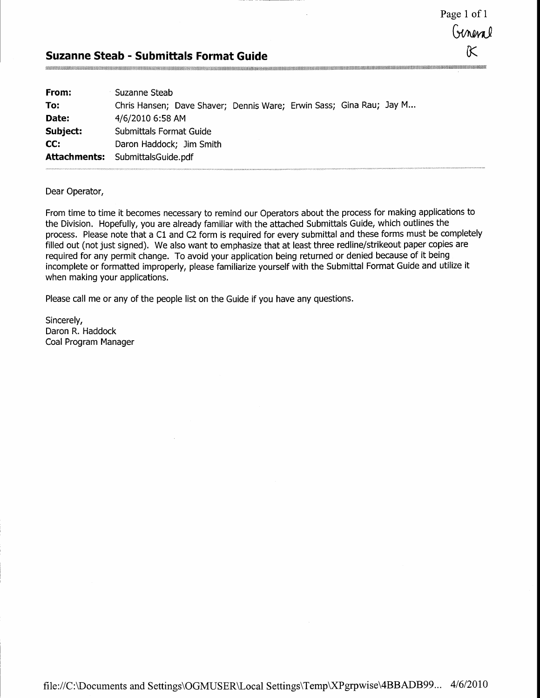Page 1 of 1 General K

### Suzanne Steab - Submittals Format Guide

| Suzanne Steab                                                       |
|---------------------------------------------------------------------|
| Chris Hansen; Dave Shaver; Dennis Ware; Erwin Sass; Gina Rau; Jay M |
| 4/6/2010 6:58 AM                                                    |
| Submittals Format Guide                                             |
| Daron Haddock; Jim Smith                                            |
| <b>Attachments:</b> SubmittalsGuide.pdf                             |
|                                                                     |

Dear Operator.

From time to time it becomes necessary to remind our Operators about the process for making applications to the Division. Hopefully, you are already familiar with the attached Submittals Guide, which outlines the process. Please note that a Cl and C2 form is required for every submittal and these forms must be completely filled out (not just signed). We also want to emphasize that at least three redline/strikeout paper copies are required for any permit change. To avoid your application being returned or denied because of it being incomplete or formatted improperly, please familiarize yourself with the Submittal Format Guide and utilize it when making your applications.

Please call me or any of the people list on the Guide if you have any questions.

Sincerely, Daron R. Haddock Coal Program Manager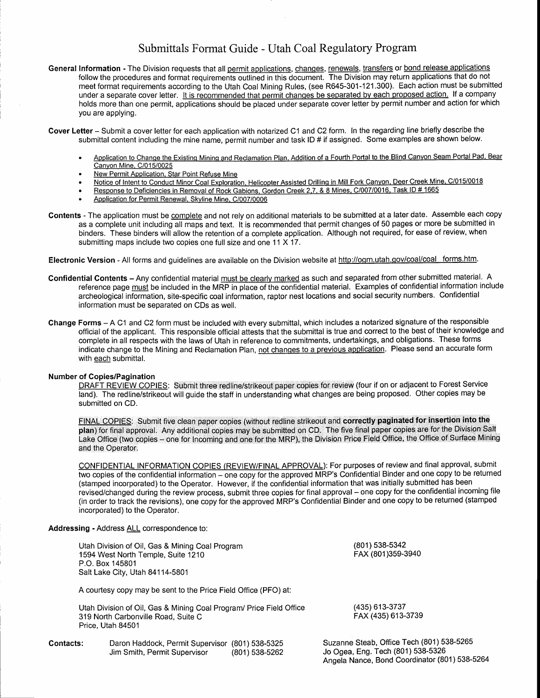# Submittals Format Guide - Utah Coal Regulatory Program

- General Information The Division requests that all permit applications, changes, renewals, transfers or bond release applications follow the procedures and format requirements outlined in this document. The Division may retum applications that do not meet format requirements according to the Utah Coal Mining Rules, (see R645-301-121.300). Each action must be submitted under a separate cover letter. It is recommended that permit changes be separated by each proposed action. If a company holds more than one permit, applications should be placed under separate cover letter by permit number and action for which you are applying.
- Cover Letter Submit a cover letter for each application with notarized C1 and C2 form. In the regarding line briefly describe the submittal content including the mine name, permit number and task lD # if assigned. Some examples are shown below.
	- Application to Change the Existing Mining and Reclamation Plan, Addition of a Fourth Portal to the Blind Canyon Seam Portal Pad, Bear Canyon Mine, C/015/0025
	- New Permit Application, Star Point Refuse Mine
	- Notice of Intent to Conduct Minor Coal Exploration, Helicopter Assisted Drilling in Mill Fork Canyon, Deer Creek Mine, C/015/0018
	- Response to Deficiencies in Removal of Rock Gabions, Gordon Creek 2,7, & 8 Mines, C/007/0016, Task ID # 1665
	- Application for Permit Renewal, Skyline Mine, C/007/0006
- Contents The application must be complete and not rely on additional materials to be submitted at a later date. Assemble each copy as a complete unit including all maps and text. It is recommended that permit changes of 50 pages or more be submitted in binders. These binders will allow the retention of a complete application. Although not required, for ease of review, when submitting maps include two copies one full size and one 11 X 17.

Electronic Version - All forms and guidelines are available on the Division website at http://ogm.utah.gov/coal/coal forms.htm.

- Confidential Contents Any confidential material must be clearly marked as such and separated from other submitted material. A reference page must be included in the MRP in place of the confidential material. Examples of confidential information include archeological information, site-specific coal information, raptor nest locations and social security numbers. Confidential information must be separated on CDs as well.
- Change Forms A C1 and C2 form must be included with every submittal, which includes a notarized signature of the responsible official of the applicant. This responsible official attests that the submittal is true and correct to the best of their knowledge and complete in all respects with the laws of Utah in reference to commitments, undertakings, and obligations. These forms indicate change to the Mining and Reclamation Plan, not changes to a previous application. Please send an accurate form with each submittal.

#### Number of Copies/Pagination

DRAFT REVIEW COPIES: Submit three redline/strikeout paper copies for review (four if on or adjacent to Forest Service land). The redline/strikeout will guide the staff in understanding what changes are being proposed. Other copies may be submitted on CD.

FINAL COPIES: Submit five clean paper copies (without redline strikeout and correctly paginated for insertion into the plan) for final approval. Any additional copies may be submitted on CD. The five final paper copies are

CONFIDENTIAL INFORMATION COPIES (REVIEW/FINAL APPROVAL): For purposes of review and final approval, submit two copies of the confidential information – one copy for the approved MRP's Confidential Binder and one copy to be returned (stamped incorporaled) to the Operator. However, if the confidential information that was initially submitted has been revised/changed during the review process, submit three copies for final approval - one copy for the confidential incoming file (in order to track the revisions), one copy for the approved MRP's Confidential Binder and one copy to be returned (stamped incorporated) to the Operator.

Angela Nance, Bond Coordinator (801) 538-5264

### Addressing - Address ALL correspondence to:

|           | Utah Division of Oil, Gas & Mining Coal Program<br>1594 West North Temple, Suite 1210<br>P.O. Box 145801<br>Salt Lake City, Utah 84114-5801 | (801) 538-5342<br>FAX (801)359-3940                                            |
|-----------|---------------------------------------------------------------------------------------------------------------------------------------------|--------------------------------------------------------------------------------|
|           | A courtesy copy may be sent to the Price Field Office (PFO) at:                                                                             |                                                                                |
|           | Utah Division of Oil, Gas & Mining Coal Program/ Price Field Office<br>319 North Carbonville Road, Suite C<br>Price, Utah 84501             | (435) 613-3737<br>FAX (435) 613-3739                                           |
| Contacts: | Daron Haddock, Permit Supervisor (801) 538-5325<br>Jim Smith, Permit Supervisor<br>(801) 538-5262                                           | Suzanne Steab, Office Tech (801) 538-5265<br>Jo Ogea, Eng. Tech (801) 538-5326 |